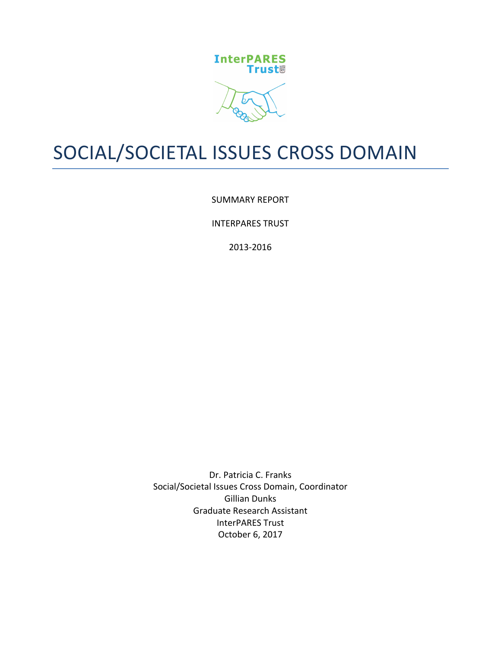

# SOCIAL/SOCIETAL ISSUES CROSS DOMAIN

SUMMARY REPORT

**INTERPARES TRUST** 

2013-2016

Dr. Patricia C. Franks Social/Societal Issues Cross Domain, Coordinator **Gillian Dunks** Graduate Research Assistant InterPARES Trust October 6, 2017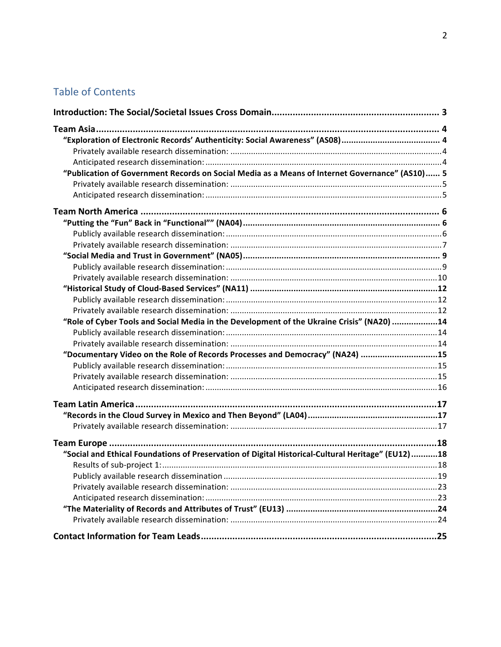# Table of Contents

| "Publication of Government Records on Social Media as a Means of Internet Governance" (AS10) 5    |  |
|---------------------------------------------------------------------------------------------------|--|
|                                                                                                   |  |
|                                                                                                   |  |
|                                                                                                   |  |
|                                                                                                   |  |
|                                                                                                   |  |
|                                                                                                   |  |
|                                                                                                   |  |
|                                                                                                   |  |
|                                                                                                   |  |
|                                                                                                   |  |
|                                                                                                   |  |
|                                                                                                   |  |
| "Role of Cyber Tools and Social Media in the Development of the Ukraine Crisis" (NA20) 14         |  |
|                                                                                                   |  |
|                                                                                                   |  |
| "Documentary Video on the Role of Records Processes and Democracy" (NA24) 15                      |  |
|                                                                                                   |  |
|                                                                                                   |  |
|                                                                                                   |  |
|                                                                                                   |  |
|                                                                                                   |  |
|                                                                                                   |  |
|                                                                                                   |  |
| "Social and Ethical Foundations of Preservation of Digital Historical-Cultural Heritage" (EU12)18 |  |
|                                                                                                   |  |
|                                                                                                   |  |
|                                                                                                   |  |
|                                                                                                   |  |
|                                                                                                   |  |
|                                                                                                   |  |
|                                                                                                   |  |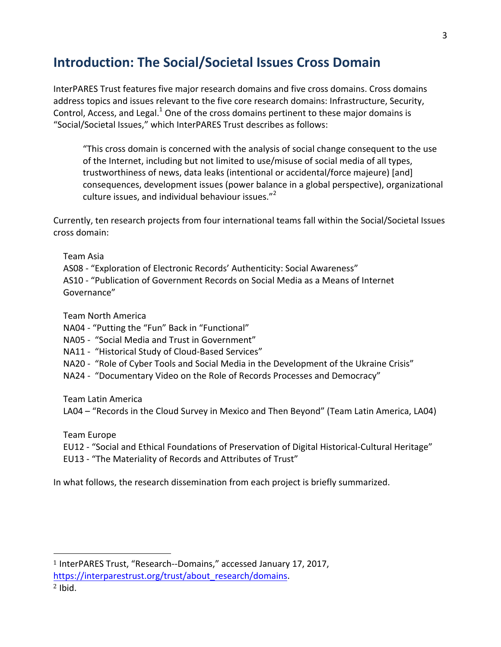# **Introduction: The Social/Societal Issues Cross Domain**

InterPARES Trust features five major research domains and five cross domains. Cross domains address topics and issues relevant to the five core research domains: Infrastructure, Security, Control, Access, and Legal. $<sup>1</sup>$  One of the cross domains pertinent to these major domains is</sup> "Social/Societal Issues," which InterPARES Trust describes as follows:

"This cross domain is concerned with the analysis of social change consequent to the use of the Internet, including but not limited to use/misuse of social media of all types, trustworthiness of news, data leaks (intentional or accidental/force majeure) [and] consequences, development issues (power balance in a global perspective), organizational culture issues, and individual behaviour issues."<sup>2</sup>

Currently, ten research projects from four international teams fall within the Social/Societal Issues cross domain:

Team Asia

AS08 - "Exploration of Electronic Records' Authenticity: Social Awareness"

AS10 - "Publication of Government Records on Social Media as a Means of Internet Governance"

Team North America

NA04 - "Putting the "Fun" Back in "Functional"

- NA05 "Social Media and Trust in Government"
- NA11 "Historical Study of Cloud-Based Services"
- NA20 "Role of Cyber Tools and Social Media in the Development of the Ukraine Crisis"
- NA24 "Documentary Video on the Role of Records Processes and Democracy"

Team Latin America

 

LA04 – "Records in the Cloud Survey in Mexico and Then Beyond" (Team Latin America, LA04)

Team Europe

EU12 - "Social and Ethical Foundations of Preservation of Digital Historical-Cultural Heritage"

EU13 - "The Materiality of Records and Attributes of Trust"

In what follows, the research dissemination from each project is briefly summarized.

 $1$  InterPARES Trust, "Research--Domains," accessed January 17, 2017, https://interparestrust.org/trust/about\_research/domains.

 $2$  Ibid.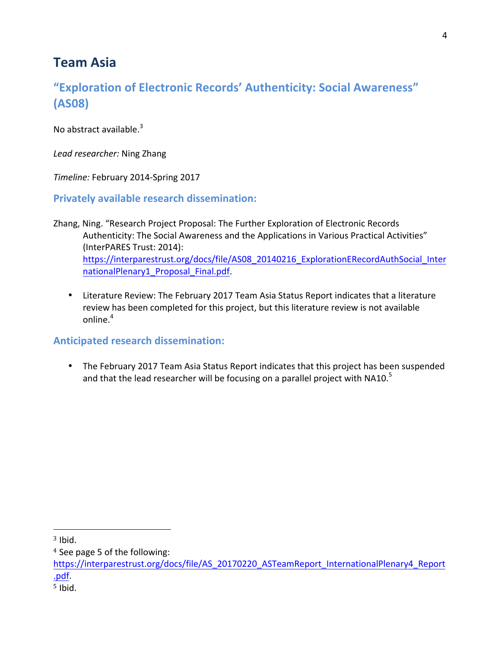# **Team Asia**

# "Exploration of Electronic Records' Authenticity: Social Awareness" **(AS08)**

No abstract available. $3$ 

Lead researcher: Ning Zhang

*Timeline:* February 2014-Spring 2017

**Privately available research dissemination:** 

- Zhang, Ning. "Research Project Proposal: The Further Exploration of Electronic Records Authenticity: The Social Awareness and the Applications in Various Practical Activities" (InterPARES Trust: 2014): https://interparestrust.org/docs/file/AS08\_20140216\_ExplorationERecordAuthSocial\_Inter nationalPlenary1\_Proposal\_Final.pdf.
	- Literature Review: The February 2017 Team Asia Status Report indicates that a literature review has been completed for this project, but this literature review is not available online.<sup>4</sup>

### **Anticipated research dissemination:**

• The February 2017 Team Asia Status Report indicates that this project has been suspended and that the lead researcher will be focusing on a parallel project with  $NA10<sup>5</sup>$ 

 $3$  Ibid.

<sup>&</sup>lt;sup>4</sup> See page 5 of the following:

https://interparestrust.org/docs/file/AS\_20170220\_ASTeamReport\_InternationalPlenary4\_Report .pdf.

 $5$  Ibid.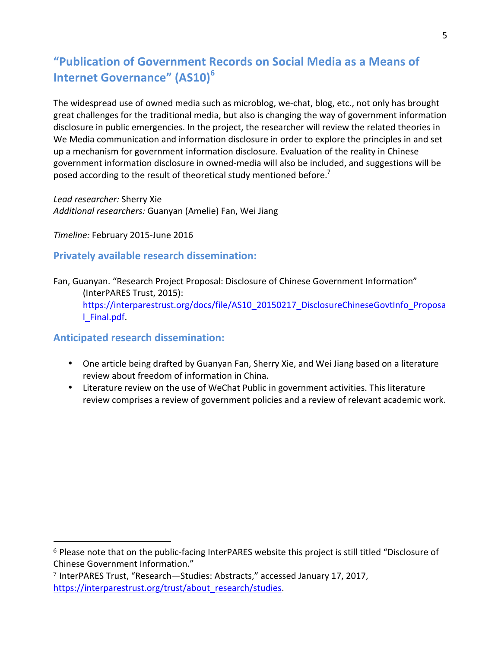# "Publication of Government Records on Social Media as a Means of **Internet Governance" (AS10)<sup>6</sup>**

The widespread use of owned media such as microblog, we-chat, blog, etc., not only has brought great challenges for the traditional media, but also is changing the way of government information disclosure in public emergencies. In the project, the researcher will review the related theories in We Media communication and information disclosure in order to explore the principles in and set up a mechanism for government information disclosure. Evaluation of the reality in Chinese government information disclosure in owned-media will also be included, and suggestions will be posed according to the result of theoretical study mentioned before.<sup>7</sup>

*Lead researcher:* Sherry Xie Additional researchers: Guanyan (Amelie) Fan, Wei Jiang

*Timeline:* February 2015-June 2016

### **Privately available research dissemination:**

Fan, Guanyan. "Research Project Proposal: Disclosure of Chinese Government Information" (InterPARES Trust, 2015): https://interparestrust.org/docs/file/AS10\_20150217\_DisclosureChineseGovtInfo\_Proposa l\_Final.pdf. 

### **Anticipated research dissemination:**

- One article being drafted by Guanyan Fan, Sherry Xie, and Wei Jiang based on a literature review about freedom of information in China.
- Literature review on the use of WeChat Public in government activities. This literature review comprises a review of government policies and a review of relevant academic work.

 $6$  Please note that on the public-facing InterPARES website this project is still titled "Disclosure of Chinese Government Information."

<sup>&</sup>lt;sup>7</sup> InterPARES Trust, "Research—Studies: Abstracts," accessed January 17, 2017, https://interparestrust.org/trust/about\_research/studies.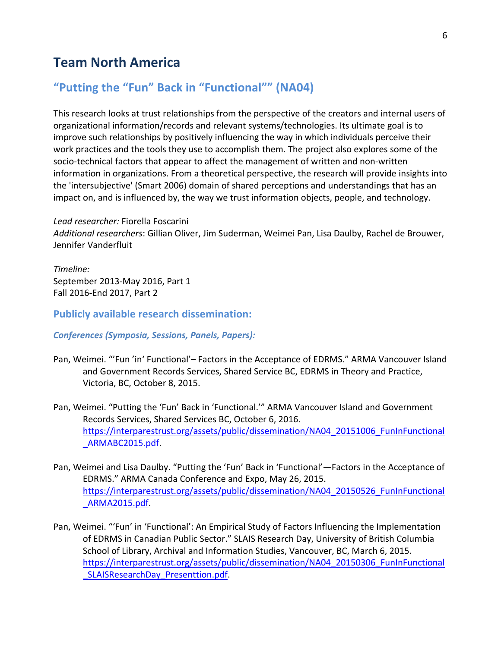### **Team North America**

### "Putting the "Fun" Back in "Functional"" (NA04)

This research looks at trust relationships from the perspective of the creators and internal users of organizational information/records and relevant systems/technologies. Its ultimate goal is to improve such relationships by positively influencing the way in which individuals perceive their work practices and the tools they use to accomplish them. The project also explores some of the socio-technical factors that appear to affect the management of written and non-written information in organizations. From a theoretical perspective, the research will provide insights into the 'intersubjective' (Smart 2006) domain of shared perceptions and understandings that has an impact on, and is influenced by, the way we trust information objects, people, and technology.

*Lead researcher:* Fiorella Foscarini Additional researchers: Gillian Oliver, Jim Suderman, Weimei Pan, Lisa Daulby, Rachel de Brouwer, Jennifer Vanderfluit 

*Timeline:*  September 2013-May 2016, Part 1 Fall 2016-End 2017, Part 2

#### **Publicly available research dissemination:**

#### *Conferences (Symposia, Sessions, Panels, Papers):*

- Pan, Weimei. "'Fun 'in' Functional'- Factors in the Acceptance of EDRMS." ARMA Vancouver Island and Government Records Services, Shared Service BC, EDRMS in Theory and Practice, Victoria, BC, October 8, 2015.
- Pan, Weimei. "Putting the 'Fun' Back in 'Functional.'" ARMA Vancouver Island and Government Records Services, Shared Services BC, October 6, 2016. https://interparestrust.org/assets/public/dissemination/NA04\_20151006\_FunInFunctional \_ARMABC2015.pdf.
- Pan, Weimei and Lisa Daulby. "Putting the 'Fun' Back in 'Functional'—Factors in the Acceptance of EDRMS." ARMA Canada Conference and Expo, May 26, 2015. https://interparestrust.org/assets/public/dissemination/NA04\_20150526\_FunInFunctional \_ARMA2015.pdf.
- Pan, Weimei. "'Fun' in 'Functional': An Empirical Study of Factors Influencing the Implementation of EDRMS in Canadian Public Sector." SLAIS Research Day, University of British Columbia School of Library, Archival and Information Studies, Vancouver, BC, March 6, 2015. https://interparestrust.org/assets/public/dissemination/NA04\_20150306\_FunInFunctional SLAISResearchDay Presenttion.pdf.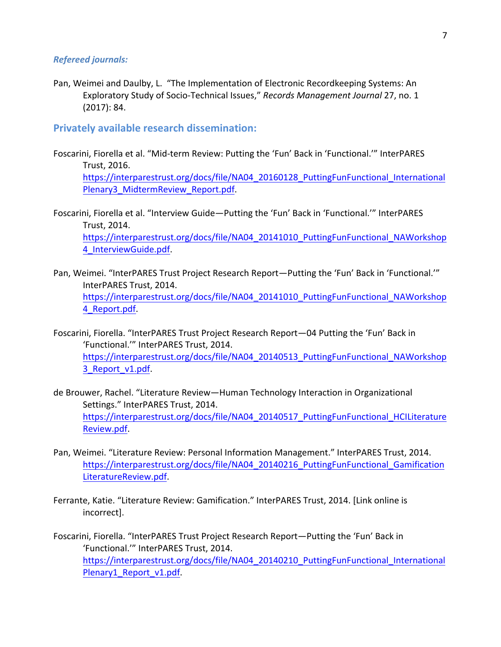#### *Refereed journals:*

Pan, Weimei and Daulby, L. "The Implementation of Electronic Recordkeeping Systems: An Exploratory Study of Socio-Technical Issues," *Records Management Journal* 27, no. 1  $(2017): 84.$ 

#### **Privately available research dissemination:**

Foscarini, Fiorella et al. "Mid-term Review: Putting the 'Fun' Back in 'Functional.'" InterPARES Trust, 2016. https://interparestrust.org/docs/file/NA04\_20160128\_PuttingFunFunctional\_International Plenary3\_MidtermReview\_Report.pdf.

Foscarini, Fiorella et al. "Interview Guide-Putting the 'Fun' Back in 'Functional.'" InterPARES Trust, 2014. https://interparestrust.org/docs/file/NA04\_20141010\_PuttingFunFunctional\_NAWorkshop 4\_InterviewGuide.pdf. 

- Pan, Weimei. "InterPARES Trust Project Research Report—Putting the 'Fun' Back in 'Functional.'" InterPARES Trust, 2014. https://interparestrust.org/docs/file/NA04\_20141010\_PuttingFunFunctional\_NAWorkshop 4\_Report.pdf.
- Foscarini, Fiorella. "InterPARES Trust Project Research Report—04 Putting the 'Fun' Back in 'Functional.'" InterPARES Trust, 2014. https://interparestrust.org/docs/file/NA04\_20140513\_PuttingFunFunctional\_NAWorkshop 3\_Report\_v1.pdf.
- de Brouwer, Rachel. "Literature Review—Human Technology Interaction in Organizational Settings." InterPARES Trust, 2014. https://interparestrust.org/docs/file/NA04\_20140517\_PuttingFunFunctional\_HCILiterature Review.pdf.
- Pan, Weimei. "Literature Review: Personal Information Management." InterPARES Trust, 2014. https://interparestrust.org/docs/file/NA04\_20140216\_PuttingFunFunctional\_Gamification LiteratureReview.pdf.
- Ferrante, Katie. "Literature Review: Gamification." InterPARES Trust, 2014. [Link online is incorrect].
- Foscarini, Fiorella. "InterPARES Trust Project Research Report—Putting the 'Fun' Back in 'Functional.'" InterPARES Trust, 2014. https://interparestrust.org/docs/file/NA04\_20140210\_PuttingFunFunctional\_International Plenary1\_Report\_v1.pdf.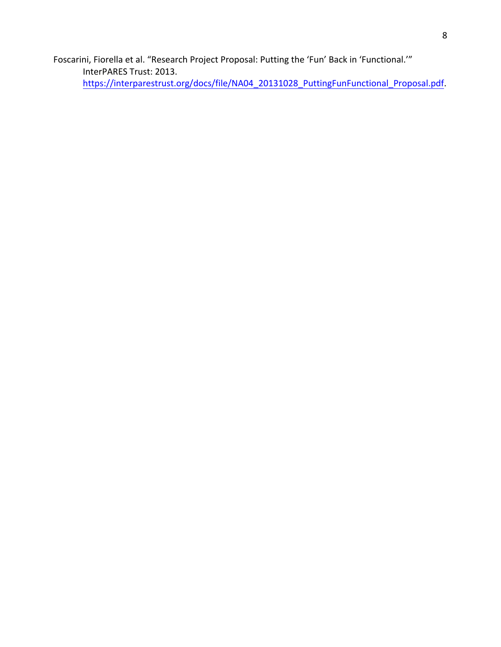Foscarini, Fiorella et al. "Research Project Proposal: Putting the 'Fun' Back in 'Functional.'" InterPARES Trust: 2013. https://interparestrust.org/docs/file/NA04\_20131028\_PuttingFunFunctional\_Proposal.pdf.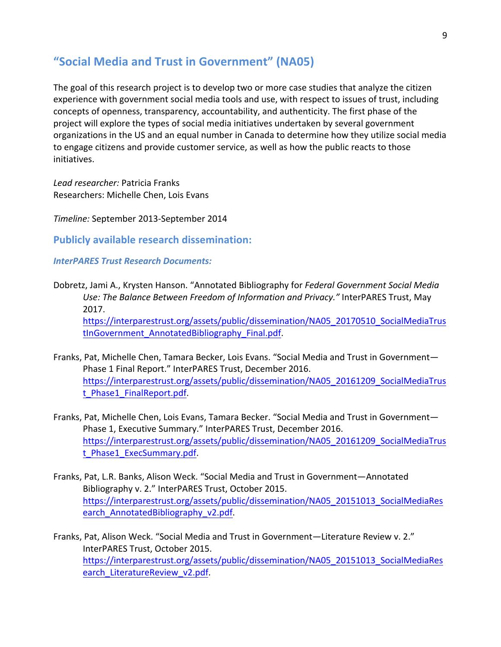### **"Social Media and Trust in Government" (NA05)**

The goal of this research project is to develop two or more case studies that analyze the citizen experience with government social media tools and use, with respect to issues of trust, including concepts of openness, transparency, accountability, and authenticity. The first phase of the project will explore the types of social media initiatives undertaken by several government organizations in the US and an equal number in Canada to determine how they utilize social media to engage citizens and provide customer service, as well as how the public reacts to those initiatives.

*Lead researcher:* Patricia Franks Researchers: Michelle Chen, Lois Evans

*Timeline:* September 2013-September 2014

**Publicly available research dissemination:** 

*InterPARES Trust Research Documents:*

- Dobretz, Jami A., Krysten Hanson. "Annotated Bibliography for *Federal Government Social Media* Use: The Balance Between Freedom of Information and Privacy." InterPARES Trust, May 2017. https://interparestrust.org/assets/public/dissemination/NA05\_20170510\_SocialMediaTrus tInGovernment AnnotatedBibliography Final.pdf.
- Franks, Pat, Michelle Chen, Tamara Becker, Lois Evans. "Social Media and Trust in Government-Phase 1 Final Report." InterPARES Trust, December 2016. https://interparestrust.org/assets/public/dissemination/NA05\_20161209\_SocialMediaTrus t\_Phase1\_FinalReport.pdf.
- Franks, Pat, Michelle Chen, Lois Evans, Tamara Becker. "Social Media and Trust in Government-Phase 1, Executive Summary." InterPARES Trust, December 2016. https://interparestrust.org/assets/public/dissemination/NA05\_20161209\_SocialMediaTrus t Phase1 ExecSummary.pdf.
- Franks, Pat, L.R. Banks, Alison Weck. "Social Media and Trust in Government-Annotated Bibliography v. 2." InterPARES Trust, October 2015. https://interparestrust.org/assets/public/dissemination/NA05\_20151013\_SocialMediaRes earch AnnotatedBibliography v2.pdf.

Franks, Pat, Alison Weck. "Social Media and Trust in Government—Literature Review v. 2." InterPARES Trust, October 2015. https://interparestrust.org/assets/public/dissemination/NA05\_20151013\_SocialMediaRes earch LiteratureReview v2.pdf.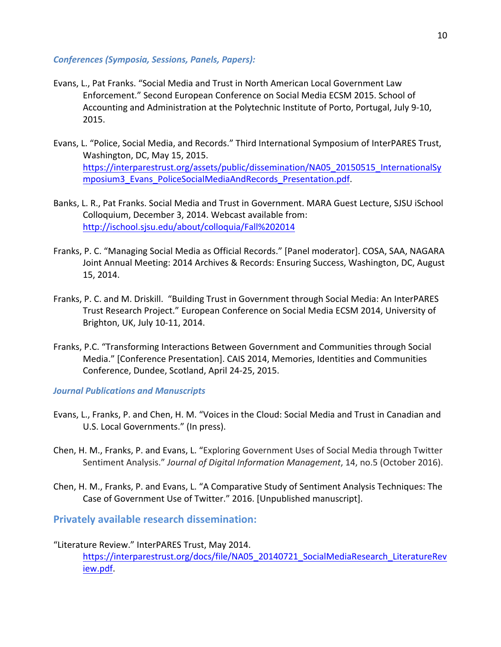#### *Conferences (Symposia, Sessions, Panels, Papers):*

- Evans, L., Pat Franks. "Social Media and Trust in North American Local Government Law Enforcement." Second European Conference on Social Media ECSM 2015. School of Accounting and Administration at the Polytechnic Institute of Porto, Portugal, July 9-10, 2015.
- Evans, L. "Police, Social Media, and Records." Third International Symposium of InterPARES Trust, Washington, DC, May 15, 2015. https://interparestrust.org/assets/public/dissemination/NA05\_20150515\_InternationalSy mposium3\_Evans\_PoliceSocialMediaAndRecords\_Presentation.pdf.
- Banks, L. R., Pat Franks. Social Media and Trust in Government. MARA Guest Lecture, SJSU iSchool Colloquium, December 3, 2014. Webcast available from: http://ischool.sjsu.edu/about/colloquia/Fall%202014
- Franks, P. C. "Managing Social Media as Official Records." [Panel moderator]. COSA, SAA, NAGARA Joint Annual Meeting: 2014 Archives & Records: Ensuring Success, Washington, DC, August 15, 2014.
- Franks, P. C. and M. Driskill. "Building Trust in Government through Social Media: An InterPARES Trust Research Project." European Conference on Social Media ECSM 2014, University of Brighton, UK, July 10-11, 2014.
- Franks, P.C. "Transforming Interactions Between Government and Communities through Social Media." [Conference Presentation]. CAIS 2014, Memories, Identities and Communities Conference, Dundee, Scotland, April 24-25, 2015.

**Journal Publications and Manuscripts** 

- Evans, L., Franks, P. and Chen, H. M. "Voices in the Cloud: Social Media and Trust in Canadian and U.S. Local Governments." (In press).
- Chen, H. M., Franks, P. and Evans, L. "Exploring Government Uses of Social Media through Twitter Sentiment Analysis." Journal of Digital Information Management, 14, no.5 (October 2016).
- Chen, H. M., Franks, P. and Evans, L. "A Comparative Study of Sentiment Analysis Techniques: The Case of Government Use of Twitter." 2016. [Unpublished manuscript].

**Privately available research dissemination:** 

#### "Literature Review." InterPARES Trust, May 2014.

https://interparestrust.org/docs/file/NA05\_20140721\_SocialMediaResearch\_LiteratureRev iew.pdf.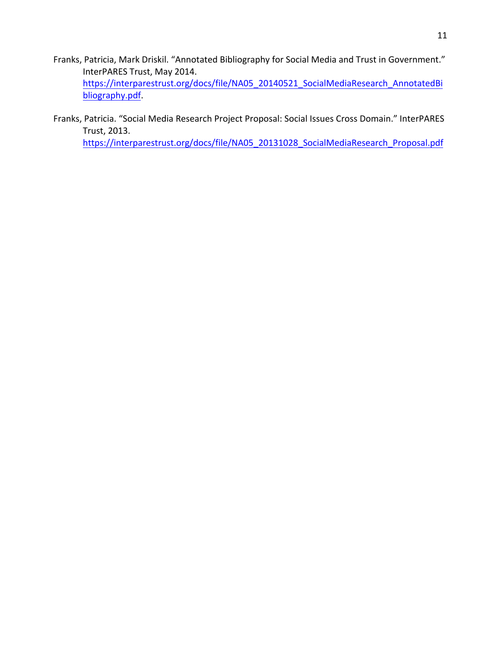- Franks, Patricia, Mark Driskil. "Annotated Bibliography for Social Media and Trust in Government." InterPARES Trust, May 2014. https://interparestrust.org/docs/file/NA05\_20140521\_SocialMediaResearch\_AnnotatedBi bliography.pdf.
- Franks, Patricia. "Social Media Research Project Proposal: Social Issues Cross Domain." InterPARES Trust, 2013.

https://interparestrust.org/docs/file/NA05\_20131028\_SocialMediaResearch\_Proposal.pdf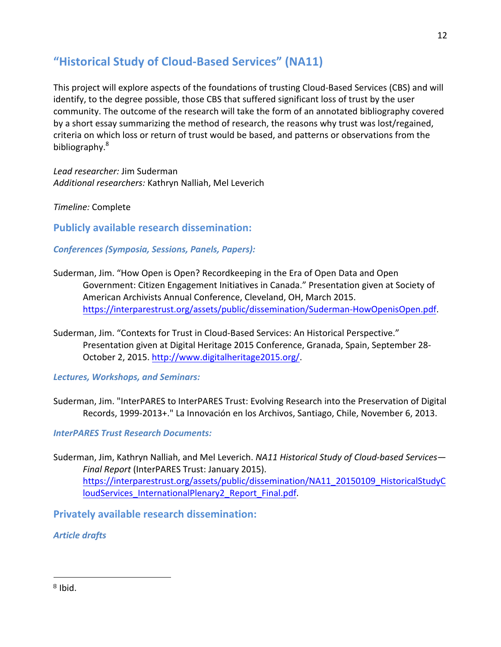### **"Historical Study of Cloud-Based Services" (NA11)**

This project will explore aspects of the foundations of trusting Cloud-Based Services (CBS) and will identify, to the degree possible, those CBS that suffered significant loss of trust by the user community. The outcome of the research will take the form of an annotated bibliography covered by a short essay summarizing the method of research, the reasons why trust was lost/regained, criteria on which loss or return of trust would be based, and patterns or observations from the bibliography.<sup>8</sup>

*Lead researcher:* Jim Suderman Additional researchers: Kathryn Nalliah, Mel Leverich

*Timeline:* Complete

**Publicly available research dissemination:** 

*Conferences (Symposia, Sessions, Panels, Papers):*

- Suderman, Jim. "How Open is Open? Recordkeeping in the Era of Open Data and Open Government: Citizen Engagement Initiatives in Canada." Presentation given at Society of American Archivists Annual Conference, Cleveland, OH, March 2015. https://interparestrust.org/assets/public/dissemination/Suderman-HowOpenisOpen.pdf.
- Suderman, Jim. "Contexts for Trust in Cloud-Based Services: An Historical Perspective." Presentation given at Digital Heritage 2015 Conference, Granada, Spain, September 28-October 2, 2015. http://www.digitalheritage2015.org/.

*Lectures, Workshops, and Seminars:*

Suderman, Jim. "InterPARES to InterPARES Trust: Evolving Research into the Preservation of Digital Records, 1999-2013+." La Innovación en los Archivos, Santiago, Chile, November 6, 2013.

*InterPARES Trust Research Documents:*

Suderman, Jim, Kathryn Nalliah, and Mel Leverich. *NA11 Historical Study of Cloud-based Services*— Final Report (InterPARES Trust: January 2015).

https://interparestrust.org/assets/public/dissemination/NA11\_20150109\_HistoricalStudyC loudServices\_InternationalPlenary2\_Report\_Final.pdf. 

**Privately available research dissemination:** 

*Article drafts*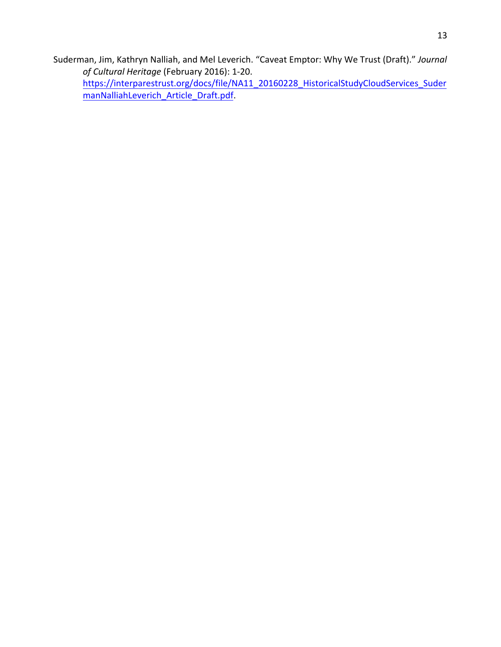Suderman, Jim, Kathryn Nalliah, and Mel Leverich. "Caveat Emptor: Why We Trust (Draft)." Journal of Cultural Heritage (February 2016): 1-20. https://interparestrust.org/docs/file/NA11\_20160228\_HistoricalStudyCloudServices\_Suder

manNalliahLeverich\_Article\_Draft.pdf.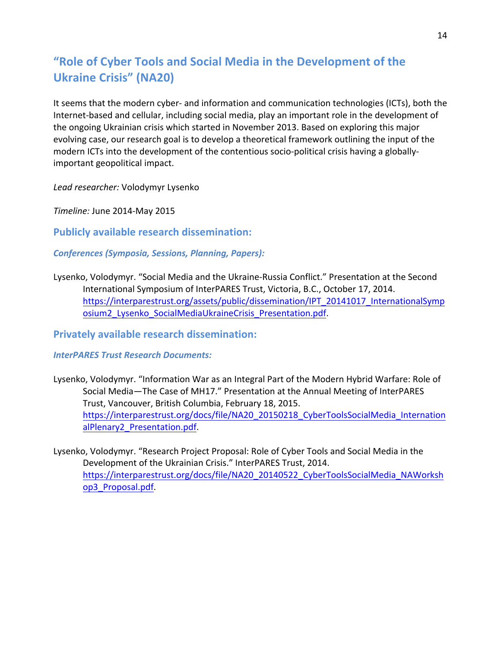# "Role of Cyber Tools and Social Media in the Development of the **Ukraine Crisis" (NA20)**

It seems that the modern cyber- and information and communication technologies (ICTs), both the Internet-based and cellular, including social media, play an important role in the development of the ongoing Ukrainian crisis which started in November 2013. Based on exploring this major evolving case, our research goal is to develop a theoretical framework outlining the input of the modern ICTs into the development of the contentious socio-political crisis having a globallyimportant geopolitical impact.

*Lead researcher:* Volodymyr Lysenko

*Timeline:* June 2014-May 2015

**Publicly available research dissemination:** 

*Conferences (Symposia, Sessions, Planning, Papers):*

Lysenko, Volodymyr. "Social Media and the Ukraine-Russia Conflict." Presentation at the Second International Symposium of InterPARES Trust, Victoria, B.C., October 17, 2014. https://interparestrust.org/assets/public/dissemination/IPT\_20141017\_InternationalSymp osium2 Lysenko SocialMediaUkraineCrisis Presentation.pdf.

**Privately available research dissemination:** 

*InterPARES Trust Research Documents:*

- Lysenko, Volodymyr. "Information War as an Integral Part of the Modern Hybrid Warfare: Role of Social Media—The Case of MH17." Presentation at the Annual Meeting of InterPARES Trust, Vancouver, British Columbia, February 18, 2015. https://interparestrust.org/docs/file/NA20\_20150218\_CyberToolsSocialMedia\_Internation alPlenary2\_Presentation.pdf.
- Lysenko, Volodymyr. "Research Project Proposal: Role of Cyber Tools and Social Media in the Development of the Ukrainian Crisis." InterPARES Trust, 2014. https://interparestrust.org/docs/file/NA20\_20140522\_CyberToolsSocialMedia\_NAWorksh op3\_Proposal.pdf.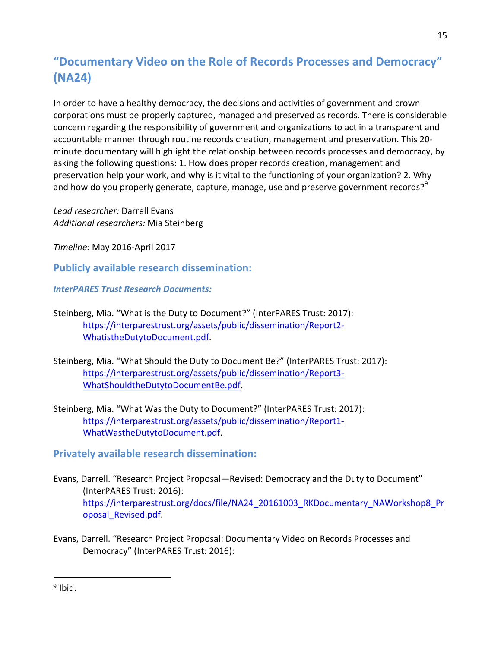# **"Documentary Video on the Role of Records Processes and Democracy" (NA24)**

In order to have a healthy democracy, the decisions and activities of government and crown corporations must be properly captured, managed and preserved as records. There is considerable concern regarding the responsibility of government and organizations to act in a transparent and accountable manner through routine records creation, management and preservation. This 20minute documentary will highlight the relationship between records processes and democracy, by asking the following questions: 1. How does proper records creation, management and preservation help your work, and why is it vital to the functioning of your organization? 2. Why and how do you properly generate, capture, manage, use and preserve government records?<sup>9</sup>

*Lead researcher:* Darrell Evans *Additional researchers:* Mia Steinberg 

*Timeline:* May 2016-April 2017

**Publicly available research dissemination:** 

*InterPARES Trust Research Documents:*

- Steinberg, Mia. "What is the Duty to Document?" (InterPARES Trust: 2017): https://interparestrust.org/assets/public/dissemination/Report2- WhatistheDutytoDocument.pdf.
- Steinberg, Mia. "What Should the Duty to Document Be?" (InterPARES Trust: 2017): https://interparestrust.org/assets/public/dissemination/Report3- WhatShouldtheDutytoDocumentBe.pdf.
- Steinberg, Mia. "What Was the Duty to Document?" (InterPARES Trust: 2017): https://interparestrust.org/assets/public/dissemination/Report1- WhatWastheDutytoDocument.pdf.

### **Privately available research dissemination:**

- Evans, Darrell. "Research Project Proposal—Revised: Democracy and the Duty to Document" (InterPARES Trust: 2016): https://interparestrust.org/docs/file/NA24\_20161003\_RKDocumentary\_NAWorkshop8\_Pr oposal\_Revised.pdf.
- Evans, Darrell. "Research Project Proposal: Documentary Video on Records Processes and Democracy" (InterPARES Trust: 2016):

 $9$  Ibid.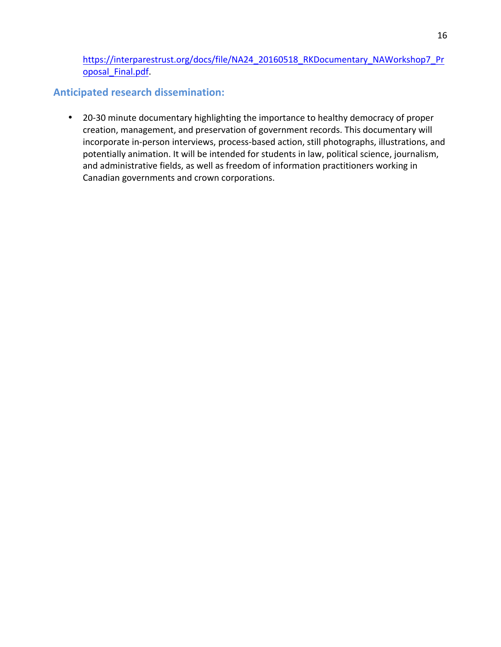https://interparestrust.org/docs/file/NA24\_20160518\_RKDocumentary\_NAWorkshop7\_Pr oposal\_Final.pdf. 

### **Anticipated research dissemination:**

• 20-30 minute documentary highlighting the importance to healthy democracy of proper creation, management, and preservation of government records. This documentary will incorporate in-person interviews, process-based action, still photographs, illustrations, and potentially animation. It will be intended for students in law, political science, journalism, and administrative fields, as well as freedom of information practitioners working in Canadian governments and crown corporations.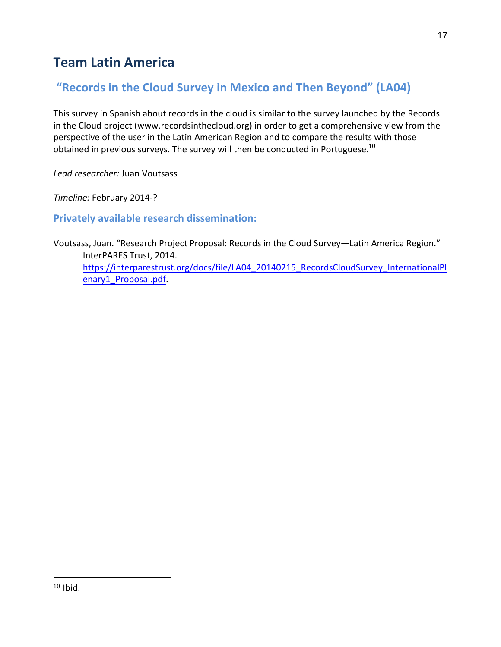# **Team Latin America**

### "Records in the Cloud Survey in Mexico and Then Beyond" (LA04)

This survey in Spanish about records in the cloud is similar to the survey launched by the Records in the Cloud project (www.recordsinthecloud.org) in order to get a comprehensive view from the perspective of the user in the Latin American Region and to compare the results with those obtained in previous surveys. The survey will then be conducted in Portuguese.<sup>10</sup>

*Lead researcher:* Juan Voutsass

*Timeline:* February 2014-?

**Privately available research dissemination:** 

Voutsass, Juan. "Research Project Proposal: Records in the Cloud Survey—Latin America Region." InterPARES Trust, 2014. https://interparestrust.org/docs/file/LA04\_20140215\_RecordsCloudSurvey\_InternationalPl enary1\_Proposal.pdf.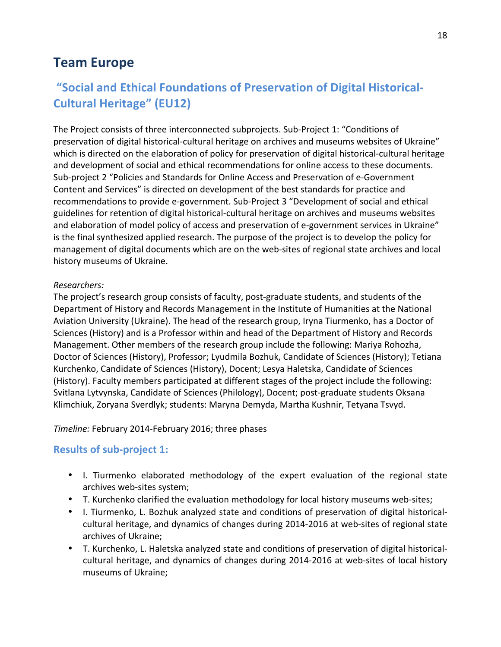## **Team Europe**

# "Social and Ethical Foundations of Preservation of Digital Historical-**Cultural Heritage" (EU12)**

The Project consists of three interconnected subprojects. Sub-Project 1: "Conditions of preservation of digital historical-cultural heritage on archives and museums websites of Ukraine" which is directed on the elaboration of policy for preservation of digital historical-cultural heritage and development of social and ethical recommendations for online access to these documents. Sub-project 2 "Policies and Standards for Online Access and Preservation of e-Government Content and Services" is directed on development of the best standards for practice and recommendations to provide e-government. Sub-Project 3 "Development of social and ethical guidelines for retention of digital historical-cultural heritage on archives and museums websites and elaboration of model policy of access and preservation of e-government services in Ukraine" is the final synthesized applied research. The purpose of the project is to develop the policy for management of digital documents which are on the web-sites of regional state archives and local history museums of Ukraine.

#### *Researchers:*

The project's research group consists of faculty, post-graduate students, and students of the Department of History and Records Management in the Institute of Humanities at the National Aviation University (Ukraine). The head of the research group, Iryna Tiurmenko, has a Doctor of Sciences (History) and is a Professor within and head of the Department of History and Records Management. Other members of the research group include the following: Mariya Rohozha, Doctor of Sciences (History), Professor; Lyudmila Bozhuk, Candidate of Sciences (History); Tetiana Kurchenko, Candidate of Sciences (History), Docent; Lesya Haletska, Candidate of Sciences (History). Faculty members participated at different stages of the project include the following: Svitlana Lytvynska, Candidate of Sciences (Philology), Docent; post-graduate students Oksana Klimchiuk, Zoryana Sverdlyk; students: Maryna Demyda, Martha Kushnir, Tetyana Tsvyd.

#### *Timeline:* February 2014-February 2016; three phases

### **Results of sub-project 1:**

- I. Tiurmenko elaborated methodology of the expert evaluation of the regional state archives web-sites system;
- T. Kurchenko clarified the evaluation methodology for local history museums web-sites;
- I. Tiurmenko, L. Bozhuk analyzed state and conditions of preservation of digital historicalcultural heritage, and dynamics of changes during 2014-2016 at web-sites of regional state archives of Ukraine;
- T. Kurchenko, L. Haletska analyzed state and conditions of preservation of digital historicalcultural heritage, and dynamics of changes during 2014-2016 at web-sites of local history museums of Ukraine;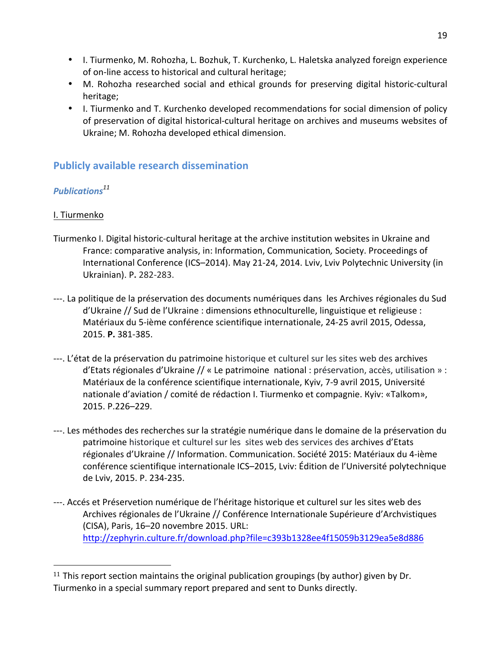- I. Tiurmenko, M. Rohozha, L. Bozhuk, T. Kurchenko, L. Haletska analyzed foreign experience of on-line access to historical and cultural heritage;
- M. Rohozha researched social and ethical grounds for preserving digital historic-cultural heritage;
- I. Tiurmenko and T. Kurchenko developed recommendations for social dimension of policy of preservation of digital historical-cultural heritage on archives and museums websites of Ukraine; M. Rohozha developed ethical dimension.

### **Publicly available research dissemination**

### *Publications<sup>11</sup>*

### I. Tiurmenko

- Tiurmenko I. Digital historic-cultural heritage at the archive institution websites in Ukraine and France: comparative analysis, in: Information, Communication, Society. Proceedings of International Conference (ICS-2014). May 21-24, 2014. Lviv, Lviv Polytechnic University (in Ukrainian). P**.** 282-283.
- ---. La politique de la préservation des documents numériques dans les Archives régionales du Sud d'Ukraine // Sud de l'Ukraine : dimensions ethnoculturelle, linguistique et religieuse : Matériaux du 5-ième conférence scientifique internationale, 24-25 avril 2015, Odessa, 2015. **P.** 381-385.
- ---. L'état de la préservation du patrimoine historique et culturel sur les sites web des archives  $d'$ Etats régionales  $d'$ Ukraine // « Le patrimoine national : préservation, accès, utilisation » : Matériaux de la conférence scientifique internationale, Kyiv, 7-9 avril 2015, Université nationale d'aviation / comité de rédaction I. Tiurmenko et compagnie. Kyiv: «Talkom», 2015. P.226–229.
- ---. Les méthodes des recherches sur la stratégie numérique dans le domaine de la préservation du patrimoine historique et culturel sur les sites web des services des archives d'Etats régionales d'Ukraine // Information. Communication. Société 2015: Matériaux du 4-ième conférence scientifique internationale ICS–2015, Lviv: Édition de l'Université polytechnique de Lviv, 2015. P. 234-235.
- ---. Accés et Préservetion numérique de l'héritage historique et culturel sur les sites web des Archives régionales de l'Ukraine // Conférence Internationale Supérieure d'Archvistiques (CISA), Paris, 16-20 novembre 2015. URL: http://zephyrin.culture.fr/download.php?file=c393b1328ee4f15059b3129ea5e8d886

<sup>&</sup>lt;sup>11</sup> This report section maintains the original publication groupings (by author) given by Dr. Tiurmenko in a special summary report prepared and sent to Dunks directly.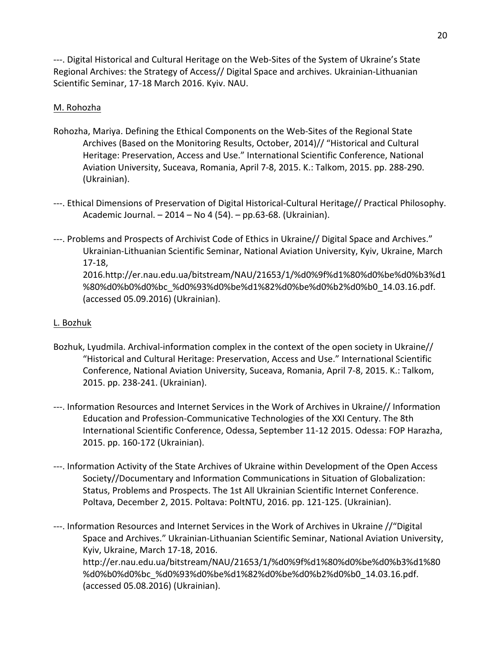---. Digital Historical and Cultural Heritage on the Web-Sites of the System of Ukraine's State Regional Archives: the Strategy of Access// Digital Space and archives. Ukrainian-Lithuanian Scientific Seminar, 17-18 March 2016. Kyiv. NAU.

#### M. Rohozha

- Rohozha, Mariya. Defining the Ethical Components on the Web-Sites of the Regional State Archives (Based on the Monitoring Results, October, 2014)// "Historical and Cultural Heritage: Preservation, Access and Use." International Scientific Conference, National Aviation University, Suceava, Romania, April 7-8, 2015. K.: Talkom, 2015. pp. 288-290. (Ukrainian).
- ---. Ethical Dimensions of Preservation of Digital Historical-Cultural Heritage// Practical Philosophy. Academic Journal. - 2014 - No 4 (54). - pp.63-68. (Ukrainian).
- ---. Problems and Prospects of Archivist Code of Ethics in Ukraine// Digital Space and Archives." Ukrainian-Lithuanian Scientific Seminar, National Aviation University, Kyiv, Ukraine, March 17-18, 2016.http://er.nau.edu.ua/bitstream/NAU/21653/1/%d0%9f%d1%80%d0%be%d0%b3%d1 %80%d0%b0%d0%bc\_%d0%93%d0%be%d1%82%d0%be%d0%b2%d0%b0\_14.03.16.pdf. (accessed 05.09.2016) (Ukrainian).

### L. Bozhuk

- Bozhuk, Lyudmila. Archival-information complex in the context of the open society in Ukraine// "Historical and Cultural Heritage: Preservation, Access and Use." International Scientific Conference, National Aviation University, Suceava, Romania, April 7-8, 2015. K.: Talkom, 2015. pp. 238-241. (Ukrainian).
- ---. Information Resources and Internet Services in the Work of Archives in Ukraine// Information Education and Profession-Communicative Technologies of the XXI Century. The 8th International Scientific Conference, Odessa, September 11-12 2015. Odessa: FOP Harazha, 2015. pp. 160-172 (Ukrainian).
- ---. Information Activity of the State Archives of Ukraine within Development of the Open Access Society//Documentary and Information Communications in Situation of Globalization: Status, Problems and Prospects. The 1st All Ukrainian Scientific Internet Conference. Poltava, December 2, 2015. Poltava: PoltNTU, 2016. pp. 121-125. (Ukrainian).
- ---. Information Resources and Internet Services in the Work of Archives in Ukraine //"Digital Space and Archives." Ukrainian-Lithuanian Scientific Seminar, National Aviation University, Kyiv, Ukraine, March 17-18, 2016. http://er.nau.edu.ua/bitstream/NAU/21653/1/%d0%9f%d1%80%d0%be%d0%b3%d1%80 %d0%b0%d0%bc\_%d0%93%d0%be%d1%82%d0%be%d0%b2%d0%b0\_14.03.16.pdf. (accessed 05.08.2016) (Ukrainian).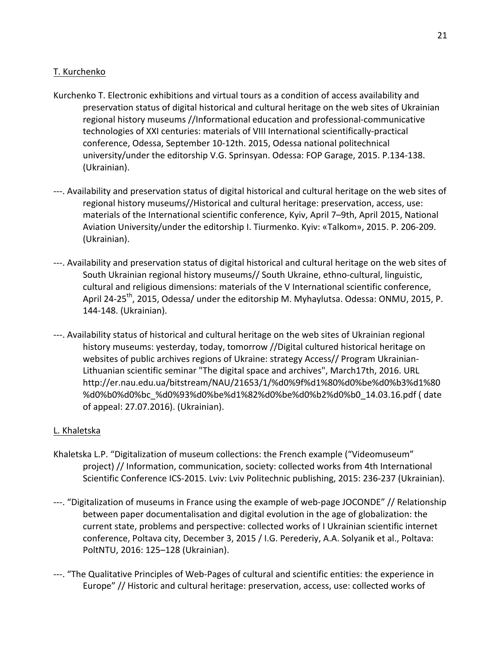#### T. Kurchenko

- Kurchenko T. Electronic exhibitions and virtual tours as a condition of access availability and preservation status of digital historical and cultural heritage on the web sites of Ukrainian regional history museums //Informational education and professional-communicative technologies of XXI centuries: materials of VIII International scientifically-practical conference, Odessa, September 10-12th. 2015, Odessa national politechnical university/under the editorship V.G. Sprinsyan. Odessa: FOP Garage, 2015. P.134-138. (Ukrainian).
- ---. Availability and preservation status of digital historical and cultural heritage on the web sites of regional history museums//Historical and cultural heritage: preservation, access, use: materials of the International scientific conference, Kyiv, April 7-9th, April 2015, National Aviation University/under the editorship I. Tiurmenko. Kyiv: «Talkom», 2015. P. 206-209. (Ukrainian).
- ---. Availability and preservation status of digital historical and cultural heritage on the web sites of South Ukrainian regional history museums// South Ukraine, ethno-cultural, linguistic, cultural and religious dimensions: materials of the V International scientific conference, April 24-25<sup>th</sup>, 2015, Odessa/ under the editorship M. Myhaylutsa. Odessa: ONMU, 2015, P. 144-148. (Ukrainian).
- ---. Availability status of historical and cultural heritage on the web sites of Ukrainian regional history museums: yesterday, today, tomorrow //Digital cultured historical heritage on websites of public archives regions of Ukraine: strategy Access// Program Ukrainian-Lithuanian scientific seminar "The digital space and archives", March17th, 2016. URL http://er.nau.edu.ua/bitstream/NAU/21653/1/%d0%9f%d1%80%d0%be%d0%b3%d1%80 %d0%b0%d0%bc\_%d0%93%d0%be%d1%82%d0%be%d0%b2%d0%b0\_14.03.16.pdf ( date of appeal: 27.07.2016). (Ukrainian).

#### L. Khaletska

- Khaletska L.P. "Digitalization of museum collections: the French example ("Videomuseum" project) // Information, communication, society: collected works from 4th International Scientific Conference ICS-2015. Lviv: Lviv Politechnic publishing, 2015: 236-237 (Ukrainian).
- ---. "Digitalization of museums in France using the example of web-page JOCONDE" // Relationship between paper documentalisation and digital evolution in the age of globalization: the current state, problems and perspective: collected works of I Ukrainian scientific internet conference, Poltava city, December 3, 2015 / I.G. Perederiy, A.A. Solyanik et al., Poltava: PoltNTU, 2016: 125-128 (Ukrainian).
- ---. "The Qualitative Principles of Web-Pages of cultural and scientific entities: the experience in Europe" // Historic and cultural heritage: preservation, access, use: collected works of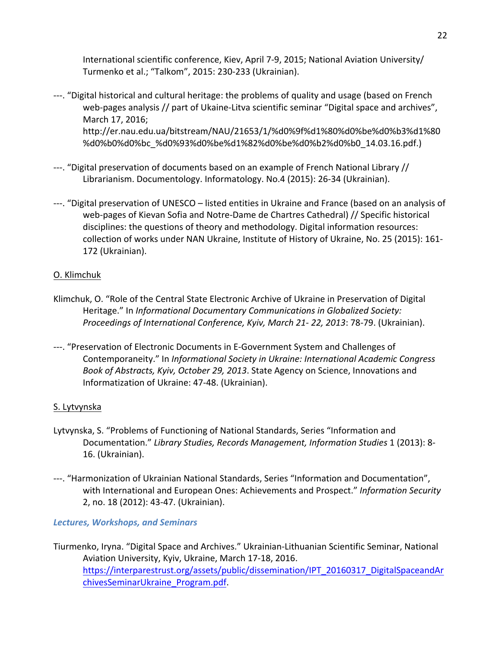International scientific conference, Kiev, April 7-9, 2015; National Aviation University/ Turmenko et al.; "Talkom", 2015: 230-233 (Ukrainian).

- ---. "Digital historical and cultural heritage: the problems of quality and usage (based on French web-pages analysis // part of Ukaine-Litva scientific seminar "Digital space and archives", March 17, 2016; http://er.nau.edu.ua/bitstream/NAU/21653/1/%d0%9f%d1%80%d0%be%d0%b3%d1%80 %d0%b0%d0%bc\_%d0%93%d0%be%d1%82%d0%be%d0%b2%d0%b0\_14.03.16.pdf.)
- ---. "Digital preservation of documents based on an example of French National Library // Librarianism. Documentology. Informatology. No.4 (2015): 26-34 (Ukrainian).
- ---. "Digital preservation of UNESCO listed entities in Ukraine and France (based on an analysis of web-pages of Kievan Sofia and Notre-Dame de Chartres Cathedral) // Specific historical disciplines: the questions of theory and methodology. Digital information resources: collection of works under NAN Ukraine, Institute of History of Ukraine, No. 25 (2015): 161-172 (Ukrainian).

### O. Klimchuk

- Klimchuk, O. "Role of the Central State Electronic Archive of Ukraine in Preservation of Digital Heritage." In *Informational Documentary Communications in Globalized Society: Proceedings of International Conference, Kyiv, March 21-22, 2013: 78-79. (Ukrainian).*
- ---. "Preservation of Electronic Documents in E-Government System and Challenges of Contemporaneity." In *Informational Society in Ukraine: International Academic Congress Book of Abstracts, Kyiv, October 29, 2013*. State Agency on Science, Innovations and Informatization of Ukraine: 47-48. (Ukrainian).

#### S. Lytvynska

- Lytvynska, S. "Problems of Functioning of National Standards, Series "Information and Documentation." Library Studies, Records Management, Information Studies 1 (2013): 8-16. (Ukrainian).
- ---. "Harmonization of Ukrainian National Standards, Series "Information and Documentation", with International and European Ones: Achievements and Prospect." Information Security 2, no. 18 (2012): 43-47. (Ukrainian).

#### *Lectures, Workshops, and Seminars*

Tiurmenko, Iryna. "Digital Space and Archives." Ukrainian-Lithuanian Scientific Seminar, National Aviation University, Kyiv, Ukraine, March 17-18, 2016. https://interparestrust.org/assets/public/dissemination/IPT\_20160317\_DigitalSpaceandAr chivesSeminarUkraine\_Program.pdf.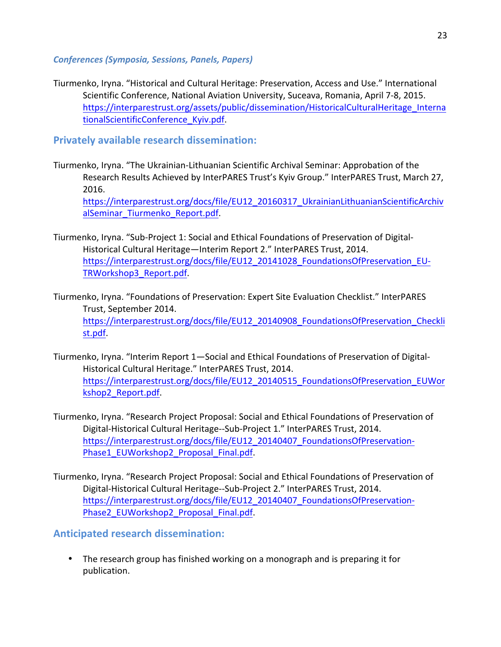#### *Conferences (Symposia, Sessions, Panels, Papers)*

Tiurmenko, Iryna. "Historical and Cultural Heritage: Preservation, Access and Use." International Scientific Conference, National Aviation University, Suceava, Romania, April 7-8, 2015. https://interparestrust.org/assets/public/dissemination/HistoricalCulturalHeritage\_Interna tionalScientificConference\_Kyiv.pdf. 

**Privately available research dissemination:** 

- Tiurmenko, Iryna. "The Ukrainian-Lithuanian Scientific Archival Seminar: Approbation of the Research Results Achieved by InterPARES Trust's Kyiv Group." InterPARES Trust, March 27, 2016. https://interparestrust.org/docs/file/EU12\_20160317\_UkrainianLithuanianScientificArchiv alSeminar\_Tiurmenko\_Report.pdf.
- Tiurmenko, Iryna. "Sub-Project 1: Social and Ethical Foundations of Preservation of Digital-Historical Cultural Heritage—Interim Report 2." InterPARES Trust, 2014. https://interparestrust.org/docs/file/EU12\_20141028\_FoundationsOfPreservation\_EU-TRWorkshop3\_Report.pdf.
- Tiurmenko, Iryna. "Foundations of Preservation: Expert Site Evaluation Checklist." InterPARES Trust, September 2014. https://interparestrust.org/docs/file/EU12\_20140908\_FoundationsOfPreservation\_Checkli st.pdf.
- Tiurmenko, Iryna. "Interim Report 1—Social and Ethical Foundations of Preservation of Digital-Historical Cultural Heritage." InterPARES Trust, 2014. https://interparestrust.org/docs/file/EU12\_20140515\_FoundationsOfPreservation\_EUWor kshop2\_Report.pdf.
- Tiurmenko, Iryna. "Research Project Proposal: Social and Ethical Foundations of Preservation of Digital-Historical Cultural Heritage--Sub-Project 1." InterPARES Trust, 2014. https://interparestrust.org/docs/file/EU12\_20140407\_FoundationsOfPreservation-Phase1\_EUWorkshop2\_Proposal\_Final.pdf.
- Tiurmenko, Iryna. "Research Project Proposal: Social and Ethical Foundations of Preservation of Digital-Historical Cultural Heritage--Sub-Project 2." InterPARES Trust, 2014. https://interparestrust.org/docs/file/EU12\_20140407\_FoundationsOfPreservation-Phase2\_EUWorkshop2\_Proposal\_Final.pdf.

**Anticipated research dissemination:**

• The research group has finished working on a monograph and is preparing it for publication.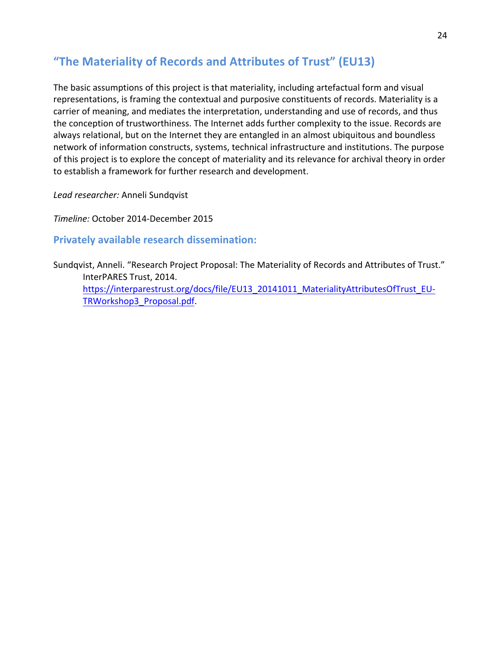### "The Materiality of Records and Attributes of Trust" (EU13)

The basic assumptions of this project is that materiality, including artefactual form and visual representations, is framing the contextual and purposive constituents of records. Materiality is a carrier of meaning, and mediates the interpretation, understanding and use of records, and thus the conception of trustworthiness. The Internet adds further complexity to the issue. Records are always relational, but on the Internet they are entangled in an almost ubiquitous and boundless network of information constructs, systems, technical infrastructure and institutions. The purpose of this project is to explore the concept of materiality and its relevance for archival theory in order to establish a framework for further research and development.

Lead researcher: Anneli Sundqvist

*Timeline:* October 2014-December 2015

**Privately available research dissemination:** 

Sundqvist, Anneli. "Research Project Proposal: The Materiality of Records and Attributes of Trust." InterPARES Trust, 2014. https://interparestrust.org/docs/file/EU13\_20141011\_MaterialityAttributesOfTrust\_EU-TRWorkshop3\_Proposal.pdf.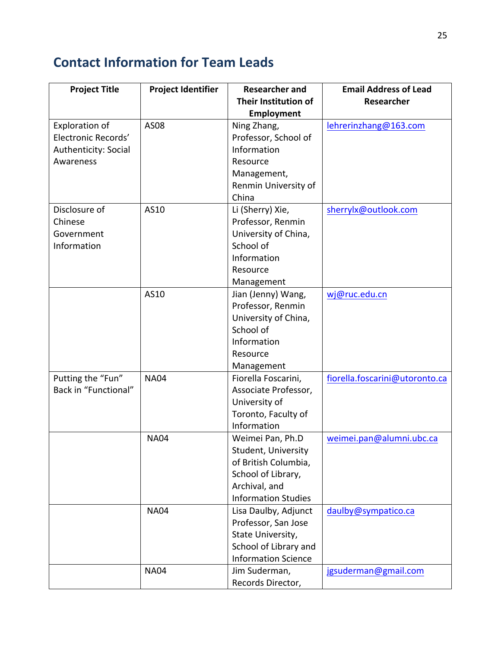# **Contact Information for Team Leads**

| <b>Project Title</b>  | <b>Project Identifier</b> | <b>Researcher and</b>      | <b>Email Address of Lead</b>   |
|-----------------------|---------------------------|----------------------------|--------------------------------|
|                       |                           | Their Institution of       | Researcher                     |
|                       |                           | Employment                 |                                |
| <b>Exploration of</b> | AS08                      | Ning Zhang,                | lehrerinzhang@163.com          |
| Electronic Records'   |                           | Professor, School of       |                                |
| Authenticity: Social  |                           | Information                |                                |
| Awareness             |                           | Resource                   |                                |
|                       |                           | Management,                |                                |
|                       |                           | Renmin University of       |                                |
|                       |                           | China                      |                                |
| Disclosure of         | AS10                      | Li (Sherry) Xie,           | sherrylx@outlook.com           |
| Chinese               |                           | Professor, Renmin          |                                |
| Government            |                           | University of China,       |                                |
| Information           |                           | School of                  |                                |
|                       |                           | Information                |                                |
|                       |                           | Resource                   |                                |
|                       |                           | Management                 |                                |
|                       | AS10                      | Jian (Jenny) Wang,         | wj@ruc.edu.cn                  |
|                       |                           | Professor, Renmin          |                                |
|                       |                           | University of China,       |                                |
|                       |                           | School of                  |                                |
|                       |                           | Information                |                                |
|                       |                           | Resource                   |                                |
|                       |                           | Management                 |                                |
| Putting the "Fun"     | <b>NA04</b>               | Fiorella Foscarini,        | fiorella.foscarini@utoronto.ca |
| Back in "Functional"  |                           | Associate Professor,       |                                |
|                       |                           | University of              |                                |
|                       |                           | Toronto, Faculty of        |                                |
|                       |                           | Information                |                                |
|                       | <b>NA04</b>               | Weimei Pan, Ph.D           | weimei.pan@alumni.ubc.ca       |
|                       |                           | Student, University        |                                |
|                       |                           | of British Columbia,       |                                |
|                       |                           | School of Library,         |                                |
|                       |                           | Archival, and              |                                |
|                       |                           | <b>Information Studies</b> |                                |
|                       | <b>NA04</b>               | Lisa Daulby, Adjunct       | daulby@sympatico.ca            |
|                       |                           | Professor, San Jose        |                                |
|                       |                           | State University,          |                                |
|                       |                           | School of Library and      |                                |
|                       |                           | <b>Information Science</b> |                                |
|                       | <b>NA04</b>               | Jim Suderman,              | jgsuderman@gmail.com           |
|                       |                           | Records Director,          |                                |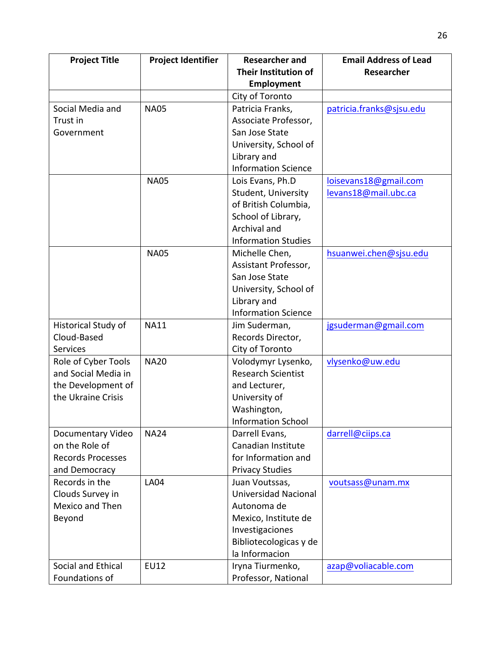| <b>Project Title</b>     | <b>Project Identifier</b> | <b>Researcher and</b>       | <b>Email Address of Lead</b> |
|--------------------------|---------------------------|-----------------------------|------------------------------|
|                          |                           | Their Institution of        | Researcher                   |
|                          |                           | <b>Employment</b>           |                              |
|                          |                           | City of Toronto             |                              |
| Social Media and         | <b>NA05</b>               | Patricia Franks,            | patricia.franks@sjsu.edu     |
| Trust in                 |                           | Associate Professor,        |                              |
| Government               |                           | San Jose State              |                              |
|                          |                           | University, School of       |                              |
|                          |                           | Library and                 |                              |
|                          |                           | <b>Information Science</b>  |                              |
|                          | <b>NA05</b>               | Lois Evans, Ph.D            | loisevans18@gmail.com        |
|                          |                           | Student, University         | levans18@mail.ubc.ca         |
|                          |                           | of British Columbia,        |                              |
|                          |                           | School of Library,          |                              |
|                          |                           | Archival and                |                              |
|                          |                           | <b>Information Studies</b>  |                              |
|                          | <b>NA05</b>               | Michelle Chen,              | hsuanwei.chen@sjsu.edu       |
|                          |                           | Assistant Professor,        |                              |
|                          |                           | San Jose State              |                              |
|                          |                           | University, School of       |                              |
|                          |                           | Library and                 |                              |
|                          |                           | <b>Information Science</b>  |                              |
| Historical Study of      | <b>NA11</b>               | Jim Suderman,               | jgsuderman@gmail.com         |
| Cloud-Based              |                           | Records Director,           |                              |
| <b>Services</b>          |                           | City of Toronto             |                              |
| Role of Cyber Tools      | <b>NA20</b>               | Volodymyr Lysenko,          | vlysenko@uw.edu              |
| and Social Media in      |                           | <b>Research Scientist</b>   |                              |
| the Development of       |                           | and Lecturer,               |                              |
| the Ukraine Crisis       |                           | University of               |                              |
|                          |                           | Washington,                 |                              |
|                          |                           | Information School          |                              |
| Documentary Video        | <b>NA24</b>               | Darrell Evans,              | darrell@ciips.ca             |
| on the Role of           |                           | Canadian Institute          |                              |
| <b>Records Processes</b> |                           | for Information and         |                              |
| and Democracy            |                           | <b>Privacy Studies</b>      |                              |
| Records in the           | <b>LA04</b>               | Juan Voutssas,              | voutsass@unam.mx             |
| Clouds Survey in         |                           | <b>Universidad Nacional</b> |                              |
| Mexico and Then          |                           | Autonoma de                 |                              |
| Beyond                   |                           | Mexico, Institute de        |                              |
|                          |                           | Investigaciones             |                              |
|                          |                           | Bibliotecologicas y de      |                              |
|                          |                           | la Informacion              |                              |
| Social and Ethical       | <b>EU12</b>               | Iryna Tiurmenko,            | azap@voliacable.com          |
| Foundations of           |                           | Professor, National         |                              |